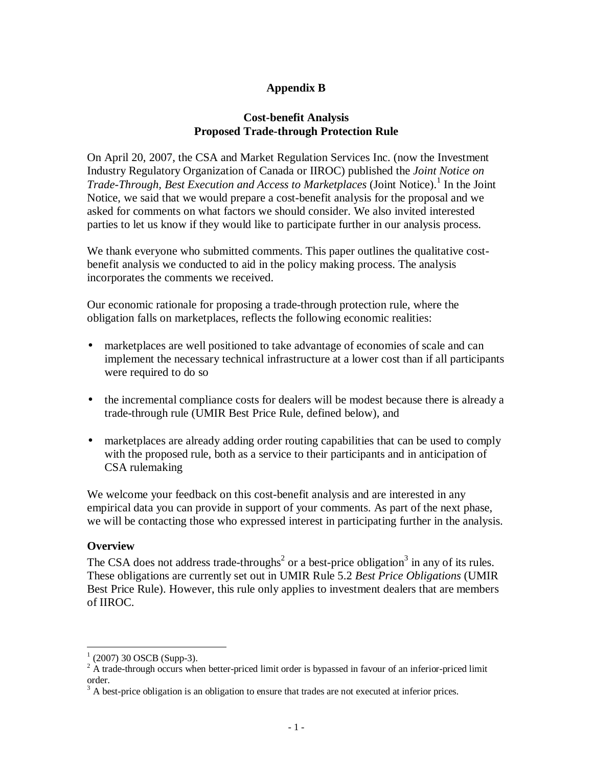# **Appendix B**

## **Cost-benefit Analysis Proposed Trade-through Protection Rule**

On April 20, 2007, the CSA and Market Regulation Services Inc. (now the Investment Industry Regulatory Organization of Canada or IIROC) published the *Joint Notice on*  Trade-Through, Best Execution and Access to Marketplaces (Joint Notice).<sup>1</sup> In the Joint Notice, we said that we would prepare a cost-benefit analysis for the proposal and we asked for comments on what factors we should consider. We also invited interested parties to let us know if they would like to participate further in our analysis process.

We thank everyone who submitted comments. This paper outlines the qualitative costbenefit analysis we conducted to aid in the policy making process. The analysis incorporates the comments we received.

Our economic rationale for proposing a trade-through protection rule, where the obligation falls on marketplaces, reflects the following economic realities:

- marketplaces are well positioned to take advantage of economies of scale and can implement the necessary technical infrastructure at a lower cost than if all participants were required to do so
- the incremental compliance costs for dealers will be modest because there is already a trade-through rule (UMIR Best Price Rule, defined below), and
- market places are already adding order routing capabilities that can be used to comply with the proposed rule, both as a service to their participants and in anticipation of CSA rulemaking

We welcome your feedback on this cost-benefit analysis and are interested in any empirical data you can provide in support of your comments. As part of the next phase, we will be contacting those who expressed interest in participating further in the analysis.

## **Overview**

The CSA does not address trade-throughs<sup>2</sup> or a best-price obligation<sup>3</sup> in any of its rules. These obligations are currently set out in UMIR Rule 5.2 *Best Price Obligations* (UMIR Best Price Rule). However, this rule only applies to investment dealers that are members of IIROC.

 $\frac{1}{1}$  (2007) 30 OSCB (Supp-3).

 $2^2$  A trade-through occurs when better-priced limit order is bypassed in favour of an inferior-priced limit order.

 $3$  A best-price obligation is an obligation to ensure that trades are not executed at inferior prices.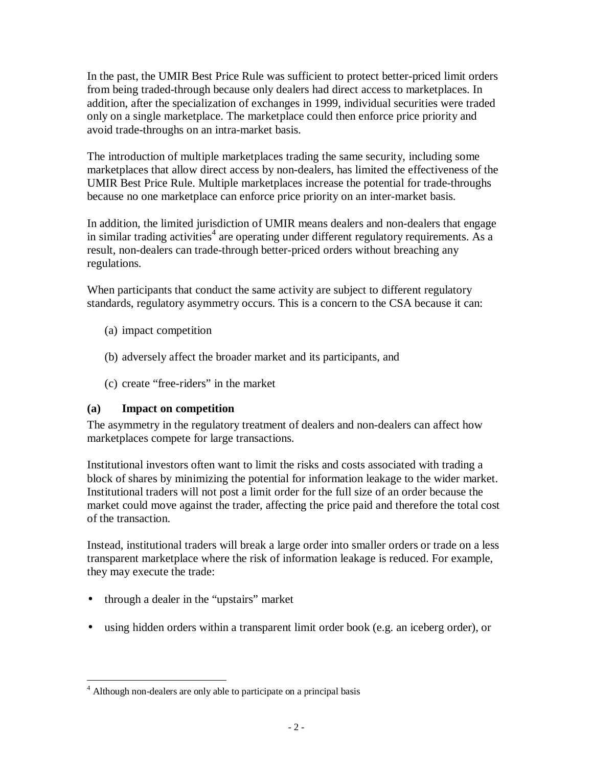In the past, the UMIR Best Price Rule was sufficient to protect better-priced limit orders from being traded-through because only dealers had direct access to marketplaces. In addition, after the specialization of exchanges in 1999, individual securities were traded only on a single marketplace. The marketplace could then enforce price priority and avoid trade-throughs on an intra-market basis.

The introduction of multiple marketplaces trading the same security, including some marketplaces that allow direct access by non-dealers, has limited the effectiveness of the UMIR Best Price Rule. Multiple marketplaces increase the potential for trade-throughs because no one marketplace can enforce price priority on an inter-market basis.

In addition, the limited jurisdiction of UMIR means dealers and non-dealers that engage in similar trading activities<sup>4</sup> are operating under different regulatory requirements. As a result, non-dealers can trade-through better-priced orders without breaching any regulations.

When participants that conduct the same activity are subject to different regulatory standards, regulatory asymmetry occurs. This is a concern to the CSA because it can:

- (a) impact competition
- (b) adversely affect the broader market and its participants, and
- (c) create "free-riders" in the market

# **(a) Impact on competition**

The asymmetry in the regulatory treatment of dealers and non-dealers can affect how marketplaces compete for large transactions.

Institutional investors often want to limit the risks and costs associated with trading a block of shares by minimizing the potential for information leakage to the wider market. Institutional traders will not post a limit order for the full size of an order because the market could move against the trader, affecting the price paid and therefore the total cost of the transaction.

Instead, institutional traders will break a large order into smaller orders or trade on a less transparent marketplace where the risk of information leakage is reduced. For example, they may execute the trade:

- through a dealer in the "upstairs" market
- using hidden orders within a transparent limit order book (e.g. an iceberg order), or

<sup>&</sup>lt;u>.</u> <sup>4</sup> Although non-dealers are only able to participate on a principal basis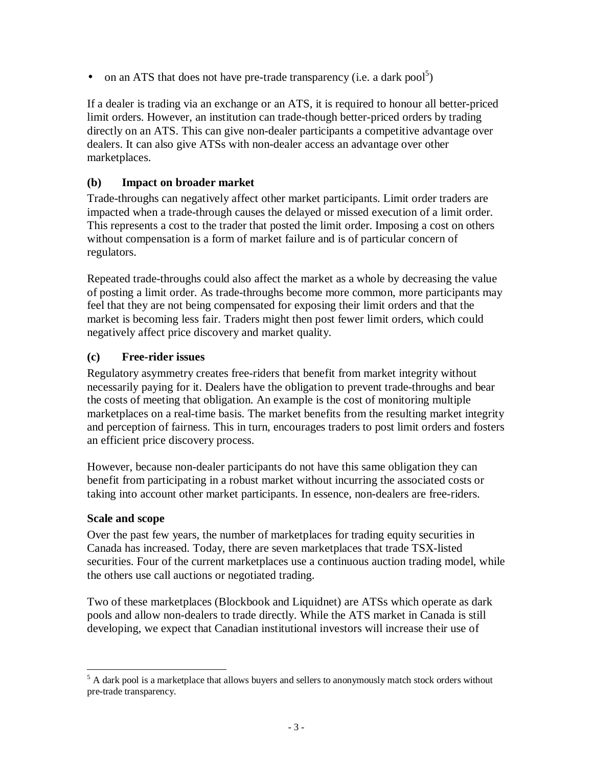• on an ATS that does not have pre-trade transparency (i.e. a dark pool<sup>5</sup>)

If a dealer is trading via an exchange or an ATS, it is required to honour all better-priced limit orders. However, an institution can trade-though better-priced orders by trading directly on an ATS. This can give non-dealer participants a competitive advantage over dealers. It can also give ATSs with non-dealer access an advantage over other marketplaces.

# **(b) Impact on broader market**

Trade-throughs can negatively affect other market participants. Limit order traders are impacted when a trade-through causes the delayed or missed execution of a limit order. This represents a cost to the trader that posted the limit order. Imposing a cost on others without compensation is a form of market failure and is of particular concern of regulators.

Repeated trade-throughs could also affect the market as a whole by decreasing the value of posting a limit order. As trade-throughs become more common, more participants may feel that they are not being compensated for exposing their limit orders and that the market is becoming less fair. Traders might then post fewer limit orders, which could negatively affect price discovery and market quality.

# **(c) Free-rider issues**

Regulatory asymmetry creates free-riders that benefit from market integrity without necessarily paying for it. Dealers have the obligation to prevent trade-throughs and bear the costs of meeting that obligation. An example is the cost of monitoring multiple marketplaces on a real-time basis. The market benefits from the resulting market integrity and perception of fairness. This in turn, encourages traders to post limit orders and fosters an efficient price discovery process.

However, because non-dealer participants do not have this same obligation they can benefit from participating in a robust market without incurring the associated costs or taking into account other market participants. In essence, non-dealers are free-riders.

## **Scale and scope**

Over the past few years, the number of marketplaces for trading equity securities in Canada has increased. Today, there are seven marketplaces that trade TSX-listed securities. Four of the current marketplaces use a continuous auction trading model, while the others use call auctions or negotiated trading.

Two of these marketplaces (Blockbook and Liquidnet) are ATSs which operate as dark pools and allow non-dealers to trade directly. While the ATS market in Canada is still developing, we expect that Canadian institutional investors will increase their use of

<sup>&</sup>lt;sup>5</sup> A dark pool is a marketplace that allows buyers and sellers to anonymously match stock orders without pre-trade transparency.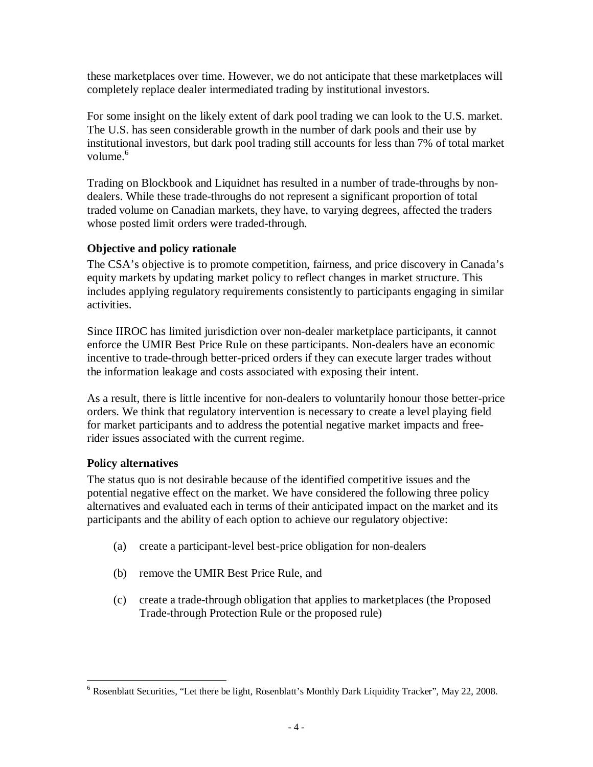these marketplaces over time. However, we do not anticipate that these marketplaces will completely replace dealer intermediated trading by institutional investors.

For some insight on the likely extent of dark pool trading we can look to the U.S. market. The U.S. has seen considerable growth in the number of dark pools and their use by institutional investors, but dark pool trading still accounts for less than 7% of total market volume. $6$ 

Trading on Blockbook and Liquidnet has resulted in a number of trade-throughs by nondealers. While these trade-throughs do not represent a significant proportion of total traded volume on Canadian markets, they have, to varying degrees, affected the traders whose posted limit orders were traded-through.

# **Objective and policy rationale**

The CSA's objective is to promote competition, fairness, and price discovery in Canada's equity markets by updating market policy to reflect changes in market structure. This includes applying regulatory requirements consistently to participants engaging in similar activities.

Since IIROC has limited jurisdiction over non-dealer marketplace participants, it cannot enforce the UMIR Best Price Rule on these participants. Non-dealers have an economic incentive to trade-through better-priced orders if they can execute larger trades without the information leakage and costs associated with exposing their intent.

As a result, there is little incentive for non-dealers to voluntarily honour those better-price orders. We think that regulatory intervention is necessary to create a level playing field for market participants and to address the potential negative market impacts and freerider issues associated with the current regime.

## **Policy alternatives**

The status quo is not desirable because of the identified competitive issues and the potential negative effect on the market. We have considered the following three policy alternatives and evaluated each in terms of their anticipated impact on the market and its participants and the ability of each option to achieve our regulatory objective:

- (a) create a participant-level best-price obligation for non-dealers
- (b) remove the UMIR Best Price Rule, and
- (c) create a trade-through obligation that applies to marketplaces (the Proposed Trade-through Protection Rule or the proposed rule)

<sup>&</sup>lt;u>.</u> <sup>6</sup> Rosenblatt Securities, "Let there be light, Rosenblatt's Monthly Dark Liquidity Tracker", May 22, 2008.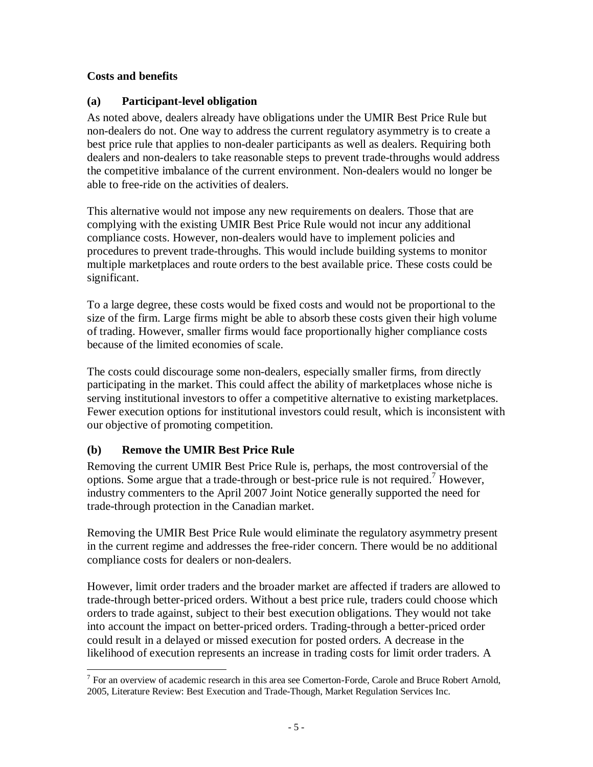# **Costs and benefits**

# **(a) Participant-level obligation**

As noted above, dealers already have obligations under the UMIR Best Price Rule but non-dealers do not. One way to address the current regulatory asymmetry is to create a best price rule that applies to non-dealer participants as well as dealers. Requiring both dealers and non-dealers to take reasonable steps to prevent trade-throughs would address the competitive imbalance of the current environment. Non-dealers would no longer be able to free-ride on the activities of dealers.

This alternative would not impose any new requirements on dealers. Those that are complying with the existing UMIR Best Price Rule would not incur any additional compliance costs. However, non-dealers would have to implement policies and procedures to prevent trade-throughs. This would include building systems to monitor multiple marketplaces and route orders to the best available price. These costs could be significant.

To a large degree, these costs would be fixed costs and would not be proportional to the size of the firm. Large firms might be able to absorb these costs given their high volume of trading. However, smaller firms would face proportionally higher compliance costs because of the limited economies of scale.

The costs could discourage some non-dealers, especially smaller firms, from directly participating in the market. This could affect the ability of marketplaces whose niche is serving institutional investors to offer a competitive alternative to existing marketplaces. Fewer execution options for institutional investors could result, which is inconsistent with our objective of promoting competition.

# **(b) Remove the UMIR Best Price Rule**

Removing the current UMIR Best Price Rule is, perhaps, the most controversial of the options. Some argue that a trade-through or best-price rule is not required.<sup>7</sup> However, industry commenters to the April 2007 Joint Notice generally supported the need for trade-through protection in the Canadian market.

Removing the UMIR Best Price Rule would eliminate the regulatory asymmetry present in the current regime and addresses the free-rider concern. There would be no additional compliance costs for dealers or non-dealers.

However, limit order traders and the broader market are affected if traders are allowed to trade-through better-priced orders. Without a best price rule, traders could choose which orders to trade against, subject to their best execution obligations. They would not take into account the impact on better-priced orders. Trading-through a better-priced order could result in a delayed or missed execution for posted orders. A decrease in the likelihood of execution represents an increase in trading costs for limit order traders. A

The annual settlem of academic research in this area see Comerton-Forde, Carole and Bruce Robert Arnold, 2005, Literature Review: Best Execution and Trade-Though, Market Regulation Services Inc.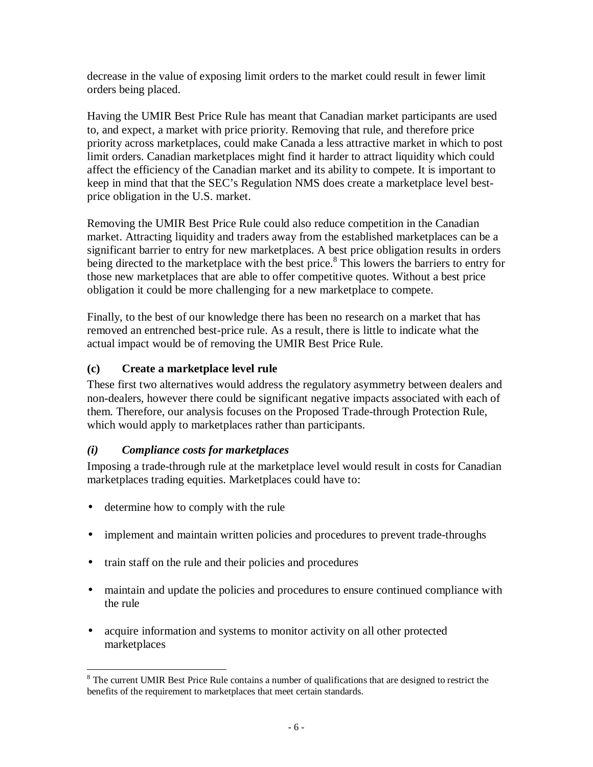decrease in the value of exposing limit orders to the market could result in fewer limit orders being placed.

Having the UMIR Best Price Rule has meant that Canadian market participants are used to, and expect, a market with price priority. Removing that rule, and therefore price priority across marketplaces, could make Canada a less attractive market in which to post limit orders. Canadian marketplaces might find it harder to attract liquidity which could affect the efficiency of the Canadian market and its ability to compete. It is important to keep in mind that that the SEC's Regulation NMS does create a marketplace level bestprice obligation in the U.S. market.

Removing the UMIR Best Price Rule could also reduce competition in the Canadian market. Attracting liquidity and traders away from the established marketplaces can be a significant barrier to entry for new marketplaces. A best price obligation results in orders being directed to the marketplace with the best price.<sup>8</sup> This lowers the barriers to entry for those new marketplaces that are able to offer competitive quotes. Without a best price obligation it could be more challenging for a new marketplace to compete.

Finally, to the best of our knowledge there has been no research on a market that has removed an entrenched best-price rule. As a result, there is little to indicate what the actual impact would be of removing the UMIR Best Price Rule.

# **(c) Create a marketplace level rule**

These first two alternatives would address the regulatory asymmetry between dealers and non-dealers, however there could be significant negative impacts associated with each of them. Therefore, our analysis focuses on the Proposed Trade-through Protection Rule, which would apply to marketplaces rather than participants.

## *(i) Compliance costs for marketplaces*

Imposing a trade-through rule at the marketplace level would result in costs for Canadian marketplaces trading equities. Marketplaces could have to:

- determine how to comply with the rule
- implement and maintain written policies and procedures to prevent trade-throughs
- train staff on the rule and their policies and procedures
- maintain and update the policies and procedures to ensure continued compliance with the rule
- acquire information and systems to monitor activity on all other protected marketplaces

<sup>&</sup>lt;sup>8</sup> The current UMIR Best Price Rule contains a number of qualifications that are designed to restrict the benefits of the requirement to marketplaces that meet certain standards.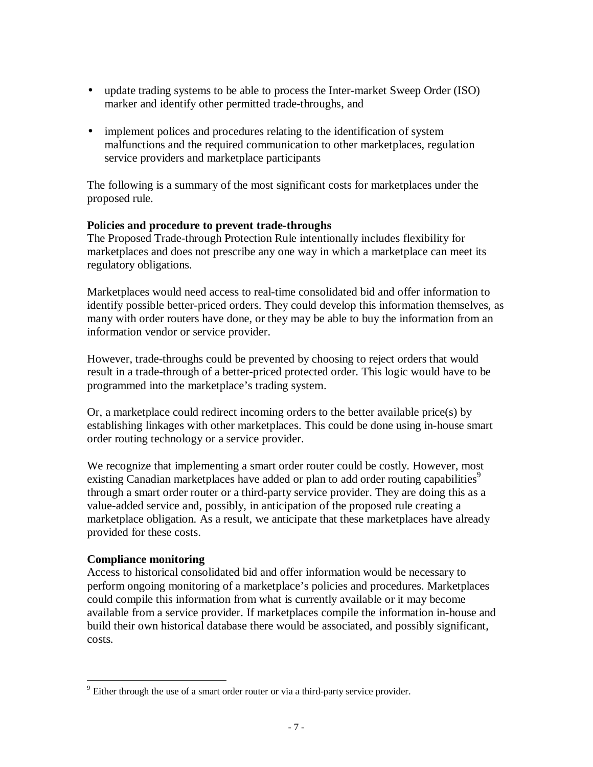- update trading systems to be able to process the Inter-market Sweep Order (ISO) marker and identify other permitted trade-throughs, and
- implement polices and procedures relating to the identification of system malfunctions and the required communication to other marketplaces, regulation service providers and marketplace participants

The following is a summary of the most significant costs for marketplaces under the proposed rule.

#### **Policies and procedure to prevent trade-throughs**

The Proposed Trade-through Protection Rule intentionally includes flexibility for marketplaces and does not prescribe any one way in which a marketplace can meet its regulatory obligations.

Marketplaces would need access to real-time consolidated bid and offer information to identify possible better-priced orders. They could develop this information themselves, as many with order routers have done, or they may be able to buy the information from an information vendor or service provider.

However, trade-throughs could be prevented by choosing to reject orders that would result in a trade-through of a better-priced protected order. This logic would have to be programmed into the marketplace's trading system.

Or, a marketplace could redirect incoming orders to the better available price(s) by establishing linkages with other marketplaces. This could be done using in-house smart order routing technology or a service provider.

We recognize that implementing a smart order router could be costly. However, most existing Canadian marketplaces have added or plan to add order routing capabilities<sup>9</sup> through a smart order router or a third-party service provider. They are doing this as a value-added service and, possibly, in anticipation of the proposed rule creating a marketplace obligation. As a result, we anticipate that these marketplaces have already provided for these costs.

## **Compliance monitoring**

Access to historical consolidated bid and offer information would be necessary to perform ongoing monitoring of a marketplace's policies and procedures. Marketplaces could compile this information from what is currently available or it may become available from a service provider. If marketplaces compile the information in-house and build their own historical database there would be associated, and possibly significant, costs.

<sup>&</sup>lt;u>.</u>  $9$  Either through the use of a smart order router or via a third-party service provider.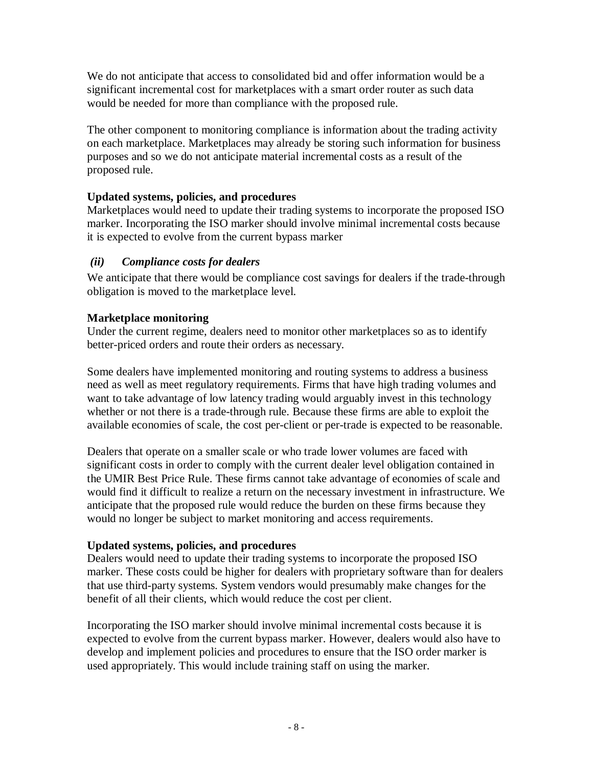We do not anticipate that access to consolidated bid and offer information would be a significant incremental cost for marketplaces with a smart order router as such data would be needed for more than compliance with the proposed rule.

The other component to monitoring compliance is information about the trading activity on each marketplace. Marketplaces may already be storing such information for business purposes and so we do not anticipate material incremental costs as a result of the proposed rule.

# **Updated systems, policies, and procedures**

Marketplaces would need to update their trading systems to incorporate the proposed ISO marker. Incorporating the ISO marker should involve minimal incremental costs because it is expected to evolve from the current bypass marker

# *(ii) Compliance costs for dealers*

We anticipate that there would be compliance cost savings for dealers if the trade-through obligation is moved to the marketplace level.

## **Marketplace monitoring**

Under the current regime, dealers need to monitor other marketplaces so as to identify better-priced orders and route their orders as necessary.

Some dealers have implemented monitoring and routing systems to address a business need as well as meet regulatory requirements. Firms that have high trading volumes and want to take advantage of low latency trading would arguably invest in this technology whether or not there is a trade-through rule. Because these firms are able to exploit the available economies of scale, the cost per-client or per-trade is expected to be reasonable.

Dealers that operate on a smaller scale or who trade lower volumes are faced with significant costs in order to comply with the current dealer level obligation contained in the UMIR Best Price Rule. These firms cannot take advantage of economies of scale and would find it difficult to realize a return on the necessary investment in infrastructure. We anticipate that the proposed rule would reduce the burden on these firms because they would no longer be subject to market monitoring and access requirements.

## **Updated systems, policies, and procedures**

Dealers would need to update their trading systems to incorporate the proposed ISO marker. These costs could be higher for dealers with proprietary software than for dealers that use third-party systems. System vendors would presumably make changes for the benefit of all their clients, which would reduce the cost per client.

Incorporating the ISO marker should involve minimal incremental costs because it is expected to evolve from the current bypass marker. However, dealers would also have to develop and implement policies and procedures to ensure that the ISO order marker is used appropriately. This would include training staff on using the marker.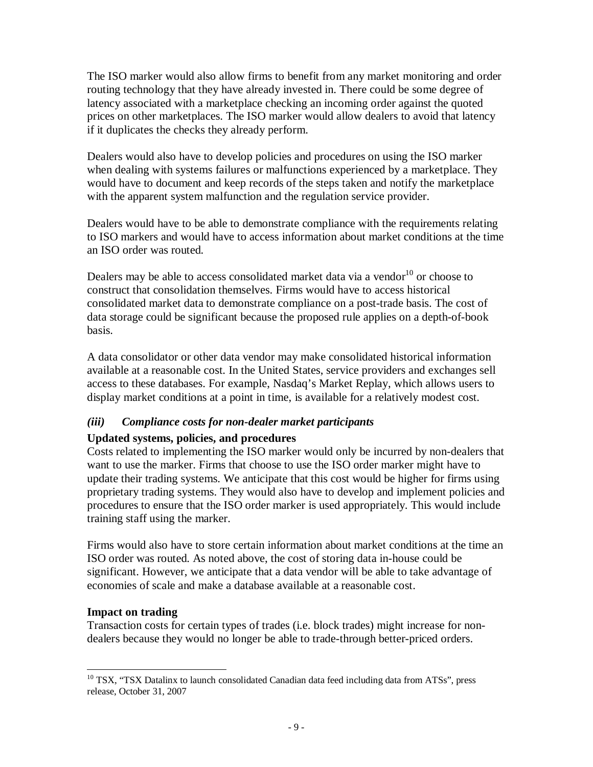The ISO marker would also allow firms to benefit from any market monitoring and order routing technology that they have already invested in. There could be some degree of latency associated with a marketplace checking an incoming order against the quoted prices on other marketplaces. The ISO marker would allow dealers to avoid that latency if it duplicates the checks they already perform.

Dealers would also have to develop policies and procedures on using the ISO marker when dealing with systems failures or malfunctions experienced by a marketplace. They would have to document and keep records of the steps taken and notify the marketplace with the apparent system malfunction and the regulation service provider.

Dealers would have to be able to demonstrate compliance with the requirements relating to ISO markers and would have to access information about market conditions at the time an ISO order was routed.

Dealers may be able to access consolidated market data via a vendor $10$  or choose to construct that consolidation themselves. Firms would have to access historical consolidated market data to demonstrate compliance on a post-trade basis. The cost of data storage could be significant because the proposed rule applies on a depth-of-book basis.

A data consolidator or other data vendor may make consolidated historical information available at a reasonable cost. In the United States, service providers and exchanges sell access to these databases. For example, Nasdaq's Market Replay, which allows users to display market conditions at a point in time, is available for a relatively modest cost.

## *(iii) Compliance costs for non-dealer market participants*

#### **Updated systems, policies, and procedures**

Costs related to implementing the ISO marker would only be incurred by non-dealers that want to use the marker. Firms that choose to use the ISO order marker might have to update their trading systems. We anticipate that this cost would be higher for firms using proprietary trading systems. They would also have to develop and implement policies and procedures to ensure that the ISO order marker is used appropriately. This would include training staff using the marker.

Firms would also have to store certain information about market conditions at the time an ISO order was routed. As noted above, the cost of storing data in-house could be significant. However, we anticipate that a data vendor will be able to take advantage of economies of scale and make a database available at a reasonable cost.

#### **Impact on trading**

Transaction costs for certain types of trades (i.e. block trades) might increase for nondealers because they would no longer be able to trade-through better-priced orders.

<sup>&</sup>lt;u>.</u> <sup>10</sup> TSX, "TSX Datalinx to launch consolidated Canadian data feed including data from ATSs", press release, October 31, 2007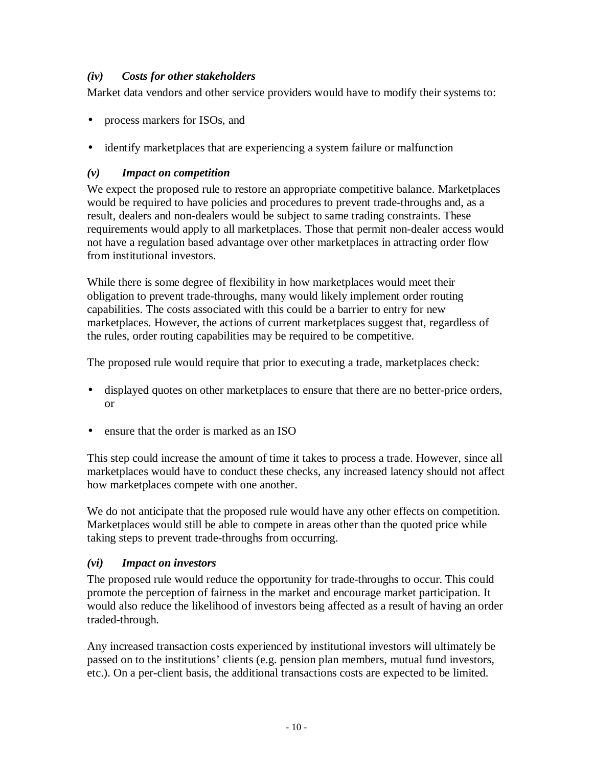## *(iv) Costs for other stakeholders*

Market data vendors and other service providers would have to modify their systems to:

- process markers for ISOs, and
- identify market places that are experiencing a system failure or malfunction

# *(v) Impact on competition*

We expect the proposed rule to restore an appropriate competitive balance. Marketplaces would be required to have policies and procedures to prevent trade-throughs and, as a result, dealers and non-dealers would be subject to same trading constraints. These requirements would apply to all marketplaces. Those that permit non-dealer access would not have a regulation based advantage over other marketplaces in attracting order flow from institutional investors.

While there is some degree of flexibility in how marketplaces would meet their obligation to prevent trade-throughs, many would likely implement order routing capabilities. The costs associated with this could be a barrier to entry for new marketplaces. However, the actions of current marketplaces suggest that, regardless of the rules, order routing capabilities may be required to be competitive.

The proposed rule would require that prior to executing a trade, marketplaces check:

- displayed quotes on other marketplaces to ensure that there are no better-price orders, or
- ensure that the order is marked as an ISO

This step could increase the amount of time it takes to process a trade. However, since all marketplaces would have to conduct these checks, any increased latency should not affect how marketplaces compete with one another.

We do not anticipate that the proposed rule would have any other effects on competition. Marketplaces would still be able to compete in areas other than the quoted price while taking steps to prevent trade-throughs from occurring.

## *(vi) Impact on investors*

The proposed rule would reduce the opportunity for trade-throughs to occur. This could promote the perception of fairness in the market and encourage market participation. It would also reduce the likelihood of investors being affected as a result of having an order traded-through.

Any increased transaction costs experienced by institutional investors will ultimately be passed on to the institutions' clients (e.g. pension plan members, mutual fund investors, etc.). On a per-client basis, the additional transactions costs are expected to be limited.